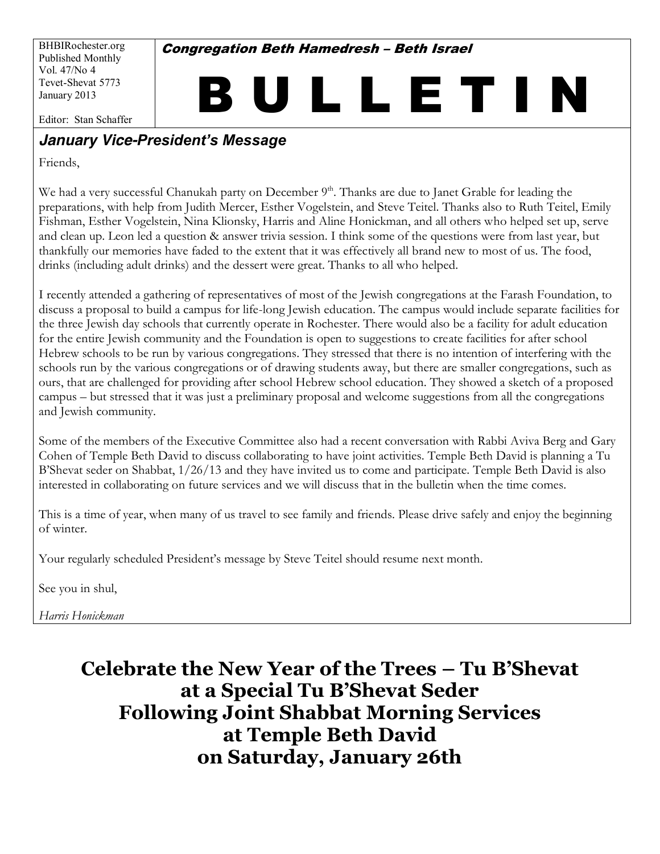BHBIRochester.org Published Monthly Vol. 47/No 4 Tevet-Shevat 5773 January 2013

**Congregation Beth Hamedresh - Beth Israel** 

BULLETIN

Editor: Stan Schaffer

#### **January Vice-President's Message**

Friends.

We had a very successful Chanukah party on December 9<sup>th</sup>. Thanks are due to Janet Grable for leading the preparations, with help from Judith Mercer, Esther Vogelstein, and Steve Teitel. Thanks also to Ruth Teitel, Emily Fishman, Esther Vogelstein, Nina Klionsky, Harris and Aline Honickman, and all others who helped set up, serve and clean up. Leon led a question & answer trivia session. I think some of the questions were from last year, but thankfully our memories have faded to the extent that it was effectively all brand new to most of us. The food, drinks (including adult drinks) and the dessert were great. Thanks to all who helped.

I recently attended a gathering of representatives of most of the Jewish congregations at the Farash Foundation, to discuss a proposal to build a campus for life-long Jewish education. The campus would include separate facilities for the three Jewish day schools that currently operate in Rochester. There would also be a facility for adult education for the entire Jewish community and the Foundation is open to suggestions to create facilities for after school Hebrew schools to be run by various congregations. They stressed that there is no intention of interfering with the schools run by the various congregations or of drawing students away, but there are smaller congregations, such as ours, that are challenged for providing after school Hebrew school education. They showed a sketch of a proposed campus – but stressed that it was just a preliminary proposal and welcome suggestions from all the congregations and Jewish community.

Some of the members of the Executive Committee also had a recent conversation with Rabbi Aviva Berg and Gary Cohen of Temple Beth David to discuss collaborating to have joint activities. Temple Beth David is planning a Tu B'Shevat seder on Shabbat, 1/26/13 and they have invited us to come and participate. Temple Beth David is also interested in collaborating on future services and we will discuss that in the bulletin when the time comes.

This is a time of year, when many of us travel to see family and friends. Please drive safely and enjoy the beginning of winter.

Your regularly scheduled President's message by Steve Teitel should resume next month.

See you in shul,

Harris Honickman

# Celebrate the New Year of the Trees - Tu B'Shevat at a Special Tu B'Shevat Seder **Following Joint Shabbat Morning Services** at Temple Beth David on Saturday, January 26th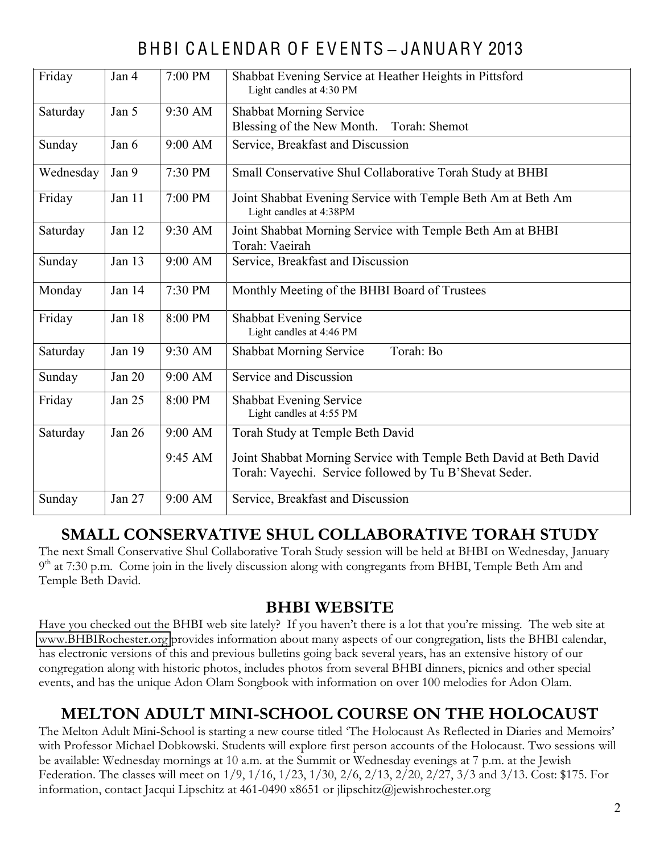# BHBI C A L ENDAR O F E V ENTS **±** JANUARY 2013

| Friday    | Jan 4  | 7:00 PM | Shabbat Evening Service at Heather Heights in Pittsford<br>Light candles at 4:30 PM                                          |  |  |  |
|-----------|--------|---------|------------------------------------------------------------------------------------------------------------------------------|--|--|--|
| Saturday  | Jan 5  | 9:30 AM | <b>Shabbat Morning Service</b><br>Blessing of the New Month.<br>Torah: Shemot                                                |  |  |  |
| Sunday    | Jan 6  | 9:00 AM | Service, Breakfast and Discussion                                                                                            |  |  |  |
| Wednesday | Jan 9  | 7:30 PM | Small Conservative Shul Collaborative Torah Study at BHBI                                                                    |  |  |  |
| Friday    | Jan 11 | 7:00 PM | Joint Shabbat Evening Service with Temple Beth Am at Beth Am<br>Light candles at 4:38PM                                      |  |  |  |
| Saturday  | Jan 12 | 9:30 AM | Joint Shabbat Morning Service with Temple Beth Am at BHBI<br>Torah: Vaeirah                                                  |  |  |  |
| Sunday    | Jan 13 | 9:00 AM | Service, Breakfast and Discussion                                                                                            |  |  |  |
| Monday    | Jan 14 | 7:30 PM | Monthly Meeting of the BHBI Board of Trustees                                                                                |  |  |  |
| Friday    | Jan 18 | 8:00 PM | Shabbat Evening Service<br>Light candles at 4:46 PM                                                                          |  |  |  |
| Saturday  | Jan 19 | 9:30 AM | Torah: Bo<br><b>Shabbat Morning Service</b>                                                                                  |  |  |  |
| Sunday    | Jan 20 | 9:00 AM | Service and Discussion                                                                                                       |  |  |  |
| Friday    | Jan 25 | 8:00 PM | Shabbat Evening Service<br>Light candles at 4:55 PM                                                                          |  |  |  |
| Saturday  | Jan 26 | 9:00 AM | Torah Study at Temple Beth David                                                                                             |  |  |  |
|           |        | 9:45 AM | Joint Shabbat Morning Service with Temple Beth David at Beth David<br>Torah: Vayechi. Service followed by Tu B'Shevat Seder. |  |  |  |
| Sunday    | Jan 27 | 9:00 AM | Service, Breakfast and Discussion                                                                                            |  |  |  |

### <u> SMALL CONSERVATIVE SHUL COLLABORATIVE TORAH STUDY</u>

The next Small Conservative Shul Collaborative Torah Study session will be held at BHBI on Wednesday, January  $9<sup>th</sup>$  at 7:30 p.m. Come join in the lively discussion along with congregants from BHBI, Temple Beth Am and Temple Beth David.

#### **DHBI WEBSITE**

Have you checked out the BHBI web site lately? If you haven't there is a lot that you're missing. The web site at www.BHBIRochester.org provides information about many aspects of our congregation, lists the BHBI calendar, has electronic versions of this and previous bulletins going back several years, has an extensive history of our congregation along with historic photos, includes photos from several BHBI dinners, picnics and other special events, and has the unique Adon Olam Songbook with information on over 100 melodies for Adon Olam.

### **MELTON ADULT MINI-SCHOOL COURSE ON THE HOLOCAUST**

The Melton Adult Mini-School is starting a new course titled 'The Holocaust As Reflected in Diaries and Memoirs' with Professor Michael Dobkowski. Students will explore first person accounts of the Holocaust. Two sessions will be available: Wednesday mornings at 10 a.m. at the Summit or Wednesday evenings at 7 p.m. at the Jewish Federation. The classes will meet on  $1/9$ ,  $1/16$ ,  $1/23$ ,  $1/30$ ,  $2/6$ ,  $2/13$ ,  $2/20$ ,  $2/27$ ,  $3/3$  and  $3/13$ . Cost: \$175. For information, contact Jacqui Lipschitz at 461-0490 x8651 or jlipschitz@jewishrochester.org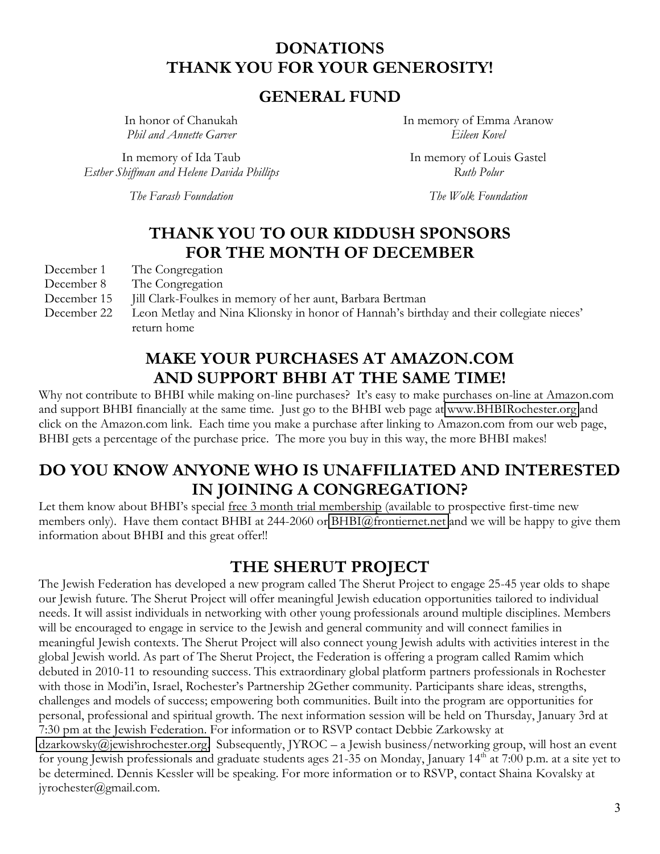#### **DONATIONS** THANK YOU FOR YOUR GENEROSITY!

#### **GENERAL FUND**

In honor of Chanukah Phil and Annette Garver

In memory of Ida Taub Esther Shiffman and Helene Davida Phillips

The Farash Foundation

In memory of Emma Aranow Eileen Kovel

In memory of Louis Gastel Ruth Polur

The Wolk Foundation

#### **THANK YOU TO OUR KIDDUSH SPONSORS** FOR THE MONTH OF DECEMBER

- December 1 The Congregation
- December 8 The Congregation
- December 15 Jill Clark-Foulkes in memory of her aunt, Barbara Bertman
- Leon Metlay and Nina Klionsky in honor of Hannah's birthday and their collegiate nieces' December 22 return home

#### **MAKE YOUR PURCHASES AT AMAZON.COM** AND SUPPORT BHBI AT THE SAME TIME!

Why not contribute to BHBI while making on-line purchases? It's easy to make purchases on-line at Amazon.com and support BHBI financially at the same time. Just go to the BHBI web page at www.BHBIRochester.org and click on the Amazon.com link. Each time you make a purchase after linking to Amazon.com from our web page, BHBI gets a percentage of the purchase price. The more you buy in this way, the more BHBI makes!

#### DO YOU KNOW ANYONE WHO IS UNAFFILIATED AND INTERESTED IN JOINING A CONGREGATION?

Let them know about BHBI's special free 3 month trial membership (available to prospective first-time new members only). Have them contact BHBI at 244-2060 or BHBI@frontiernet.net and we will be happy to give them information about BHBI and this great offer!!

#### THE SHERUT PROJECT

The Jewish Federation has developed a new program called The Sherut Project to engage 25-45 year olds to shape our Jewish future. The Sherut Project will offer meaningful Jewish education opportunities tailored to individual needs. It will assist individuals in networking with other young professionals around multiple disciplines. Members will be encouraged to engage in service to the Jewish and general community and will connect families in meaningful Jewish contexts. The Sherut Project will also connect young Jewish adults with activities interest in the global Jewish world. As part of The Sherut Project, the Federation is offering a program called Ramim which debuted in 2010-11 to resounding success. This extraordinary global platform partners professionals in Rochester with those in Modi'in, Israel, Rochester's Partnership 2Gether community. Participants share ideas, strengths, challenges and models of success; empowering both communities. Built into the program are opportunities for personal, professional and spiritual growth. The next information session will be held on Thursday, January 3rd at 7:30 pm at the Jewish Federation. For information or to RSVP contact Debbie Zarkowsky at  $dzarkowsky@jewishrochester.org. Subsequently, IYROC - a Jewish business/networking group, will host an event$ for young Jewish professionals and graduate students ages 21-35 on Monday, January 14<sup>th</sup> at 7:00 p.m. at a site yet to be determined. Dennis Kessler will be speaking. For more information or to RSVP, contact Shaina Kovalsky at jyrochester@gmail.com.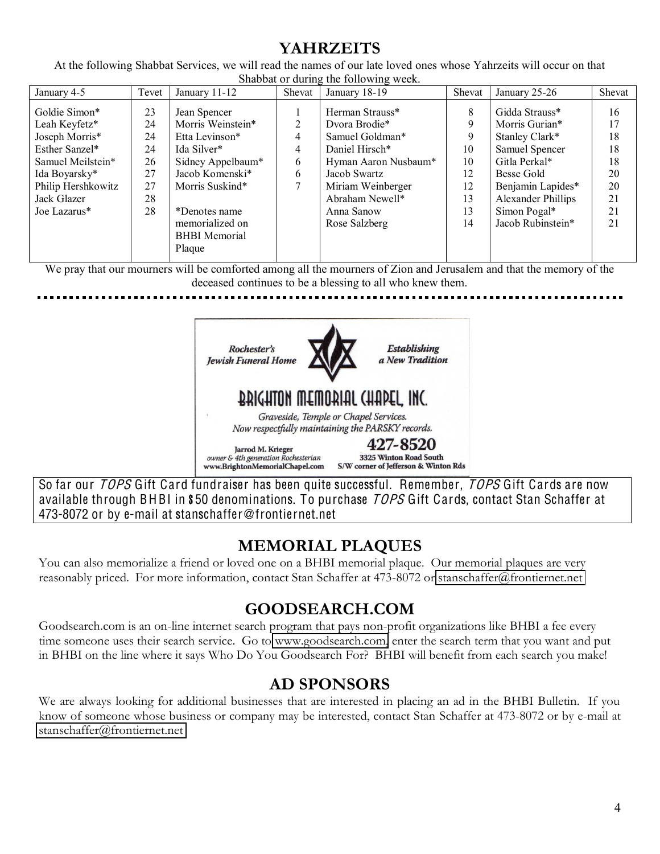## **YAHRZEITS**

At the following Shabbat Services, we will read the names of our late loved ones whose Yahrzeits will occur on that Shabbat or during the following week

| January 4-5                                                                                                                                                   | Tevet                                              | January 11-12                                                                                                                                                                             | Shevat                | January 18-19                                                                                                                                                                        | Shevat                                                | January 25-26                                                                                                                                                                              | Shevat                                                   |
|---------------------------------------------------------------------------------------------------------------------------------------------------------------|----------------------------------------------------|-------------------------------------------------------------------------------------------------------------------------------------------------------------------------------------------|-----------------------|--------------------------------------------------------------------------------------------------------------------------------------------------------------------------------------|-------------------------------------------------------|--------------------------------------------------------------------------------------------------------------------------------------------------------------------------------------------|----------------------------------------------------------|
| Goldie Simon*<br>Leah Keyfetz*<br>Joseph Morris*<br>Esther Sanzel*<br>Samuel Meilstein*<br>Ida Boyarsky*<br>Philip Hershkowitz<br>Jack Glazer<br>Joe Lazarus* | 23<br>24<br>24<br>24<br>26<br>27<br>27<br>28<br>28 | Jean Spencer<br>Morris Weinstein*<br>Etta Levinson*<br>Ida Silver*<br>Sidney Appelbaum*<br>Jacob Komenski*<br>Morris Suskind*<br>*Denotes name<br>memorialized on<br><b>BHBI</b> Memorial | ↑<br>4<br>4<br>6<br>6 | Herman Strauss*<br>Dvora Brodie*<br>Samuel Goldman*<br>Daniel Hirsch*<br>Hyman Aaron Nusbaum*<br>Jacob Swartz<br>Miriam Weinberger<br>Abraham Newell*<br>Anna Sanow<br>Rose Salzberg | 8<br>9<br>9<br>10<br>10<br>12<br>12<br>13<br>13<br>14 | Gidda Strauss*<br>Morris Gurian*<br>Stanley Clark*<br>Samuel Spencer<br>Gitla Perkal*<br>Besse Gold<br>Benjamin Lapides*<br><b>Alexander Phillips</b><br>Simon Pogal*<br>Jacob Rubinstein* | 16<br>17<br>18<br>18<br>18<br>20<br>20<br>21<br>21<br>21 |
|                                                                                                                                                               |                                                    | Plaque                                                                                                                                                                                    |                       |                                                                                                                                                                                      |                                                       |                                                                                                                                                                                            |                                                          |

We pray that our mourners will be comforted among all the mourners of Zion and Jerusalem and that the memory of the deceased continues to be a blessing to all who knew them.



So far our TOPS Gift Card fundraiser has been quite successful. Remember, TOPS Gift Cards are now available through BHBI in \$50 denominations. To purchase TOPS Gift Cards, contact Stan Schaffer at 473-8072 or by e-mail at stanschaffer@frontiernet.net

## **MEMORIAL PLAQUES**

You can also memorialize a friend or loved one on a BHBI memorial plaque. Our memorial plaques are very reasonably priced. For more information, contact Stan Schaffer at 473-8072 or stanschaffer@frontiernet.net

## **GOODSEARCH.COM**

Goodsearch.com is an on-line internet search program that pays non-profit organizations like BHBI a fee every time someone uses their search service. Go to www.goodsearch.com, enter the search term that you want and put in BHBI on the line where it says Who Do You Goodsearch For? BHBI will benefit from each search you make!

### **AD SPONSORS**

We are always looking for additional businesses that are interested in placing an ad in the BHBI Bulletin. If you know of someone whose business or company may be interested, contact Stan Schaffer at 473-8072 or by e-mail at stanschaffer@frontiernet.net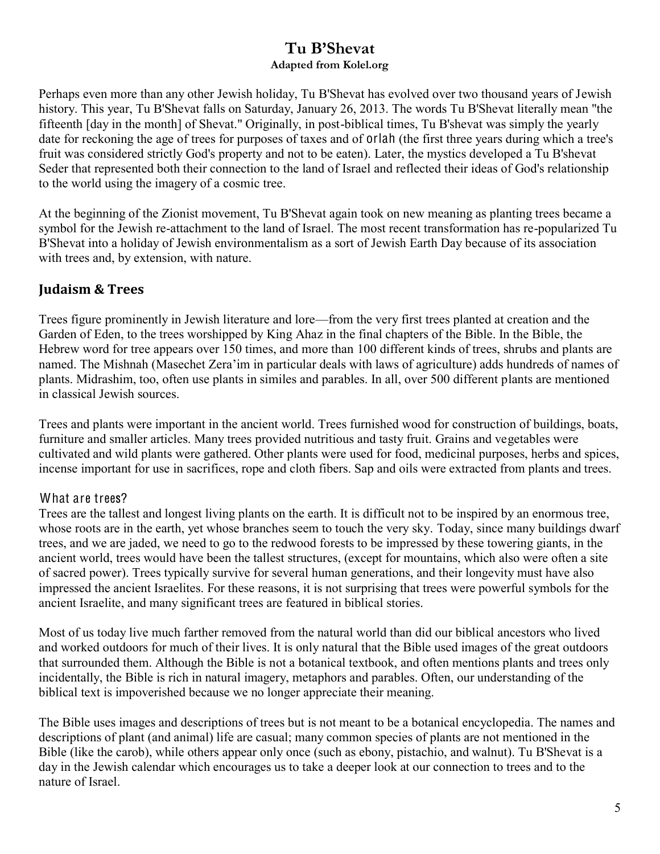#### Tu B'Shevat **Adapted from Kolel.org**

Perhaps even more than any other Jewish holiday, Tu B'Shevat has evolved over two thousand years of Jewish history. This year, Tu B'Shevat falls on Saturday, January 26, 2013. The words Tu B'Shevat literally mean "the fifteenth [day in the month] of Shevat." Originally, in post-biblical times, Tu B'shevat was simply the yearly date for reckoning the age of trees for purposes of taxes and of orlah (the first three years during which a tree's fruit was considered strictly God's property and not to be eaten). Later, the mystics developed a Tu B'shevat Seder that represented both their connection to the land of Israel and reflected their ideas of God's relationship to the world using the imagery of a cosmic tree.

At the beginning of the Zionist movement, Tu B'Shevat again took on new meaning as planting trees became a symbol for the Jewish re-attachment to the land of Israel. The most recent transformation has re-popularized Tu B'Shevat into a holiday of Jewish environmentalism as a sort of Jewish Earth Day because of its association with trees and, by extension, with nature.

#### **Judaism & Trees**

Trees figure prominently in Jewish literature and lore—from the very first trees planted at creation and the Garden of Eden, to the trees worshipped by King Ahaz in the final chapters of the Bible. In the Bible, the Hebrew word for tree appears over 150 times, and more than 100 different kinds of trees, shrubs and plants are named. The Mishnah (Masechet Zera'im in particular deals with laws of agriculture) adds hundreds of names of plants. Midrashim, too, often use plants in similes and parables. In all, over 500 different plants are mentioned in classical Jewish sources.

Trees and plants were important in the ancient world. Trees furnished wood for construction of buildings, boats, furniture and smaller articles. Many trees provided nutritious and tasty fruit. Grains and vegetables were cultivated and wild plants were gathered. Other plants were used for food, medicinal purposes, herbs and spices, incense important for use in sacrifices, rope and cloth fibers. Sap and oils were extracted from plants and trees.

#### What are trees?

Trees are the tallest and longest living plants on the earth. It is difficult not to be inspired by an enormous tree, whose roots are in the earth, yet whose branches seem to touch the very sky. Today, since many buildings dwarf trees, and we are jaded, we need to go to the redwood forests to be impressed by these towering giants, in the ancient world, trees would have been the tallest structures, (except for mountains, which also were often a site of sacred power). Trees typically survive for several human generations, and their longevity must have also impressed the ancient Israelites. For these reasons, it is not surprising that trees were powerful symbols for the ancient Israelite, and many significant trees are featured in biblical stories.

Most of us today live much farther removed from the natural world than did our biblical ancestors who lived and worked outdoors for much of their lives. It is only natural that the Bible used images of the great outdoors that surrounded them. Although the Bible is not a botanical textbook, and often mentions plants and trees only incidentally, the Bible is rich in natural imagery, metaphors and parables. Often, our understanding of the biblical text is impoverished because we no longer appreciate their meaning.

The Bible uses images and descriptions of trees but is not meant to be a botanical encyclopedia. The names and descriptions of plant (and animal) life are casual; many common species of plants are not mentioned in the Bible (like the carob), while others appear only once (such as ebony, pistachio, and walnut). Tu B'Shevat is a day in the Jewish calendar which encourages us to take a deeper look at our connection to trees and to the nature of Israel.